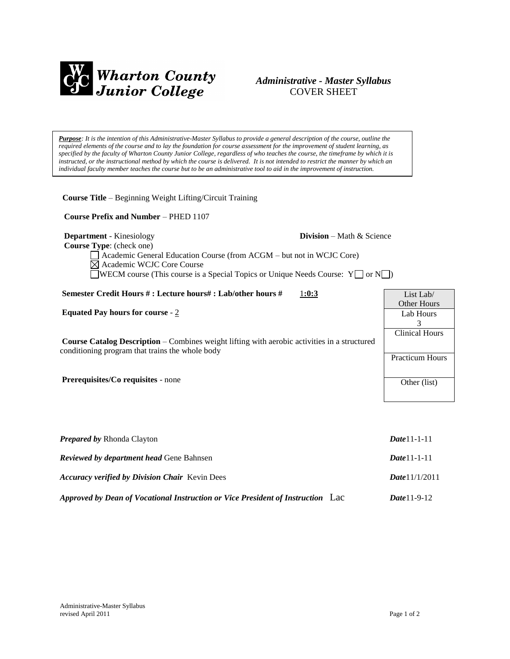

## *Administrative - Master Syllabus*  COVER SHEET

*Purpose: It is the intention of this Administrative-Master Syllabus to provide a general description of the course, outline the required elements of the course and to lay the foundation for course assessment for the improvement of student learning, as specified by the faculty of Wharton County Junior College, regardless of who teaches the course, the timeframe by which it is* instructed, or the instructional method by which the course is delivered. It is not intended to restrict the manner by which an *individual faculty member teaches the course but to be an administrative tool to aid in the improvement of instruction.*

**Course Title** – Beginning Weight Lifting/Circuit Training

 **Course Prefix and Number** – PHED 1107

**Department** - Kinesiology **Division** – Math & Science

 **Course Type**: (check one)

Academic General Education Course (from ACGM – but not in WCJC Core) Academic WCJC Core Course **WECM** course (This course is a Special Topics or Unique Needs Course:  $Y \cap N$ )

| Semester Credit Hours #: Lecture hours#: Lab/other hours #<br>1:0:3                                                                                    | List Lab/              |
|--------------------------------------------------------------------------------------------------------------------------------------------------------|------------------------|
|                                                                                                                                                        | Other Hours            |
| Equated Pay hours for course $-2$                                                                                                                      | Lab Hours              |
|                                                                                                                                                        |                        |
|                                                                                                                                                        | <b>Clinical Hours</b>  |
| <b>Course Catalog Description</b> – Combines weight lifting with aerobic activities in a structured<br>conditioning program that trains the whole body |                        |
|                                                                                                                                                        | <b>Practicum Hours</b> |
|                                                                                                                                                        |                        |
| <b>Prerequisites/Co requisites - none</b>                                                                                                              | Other (list)           |
|                                                                                                                                                        |                        |

| <b>Prepared by Rhonda Clayton</b>                                                  | $Date 11 - 1 - 11$ |
|------------------------------------------------------------------------------------|--------------------|
| <b>Reviewed by department head Gene Bahnsen</b>                                    | $Date 11 - 1 - 11$ |
| <b>Accuracy verified by Division Chair</b> Kevin Dees                              | Date 11/1/2011     |
| Approved by Dean of Vocational Instruction or Vice President of Instruction<br>Lac | $Date 11-9-12$     |